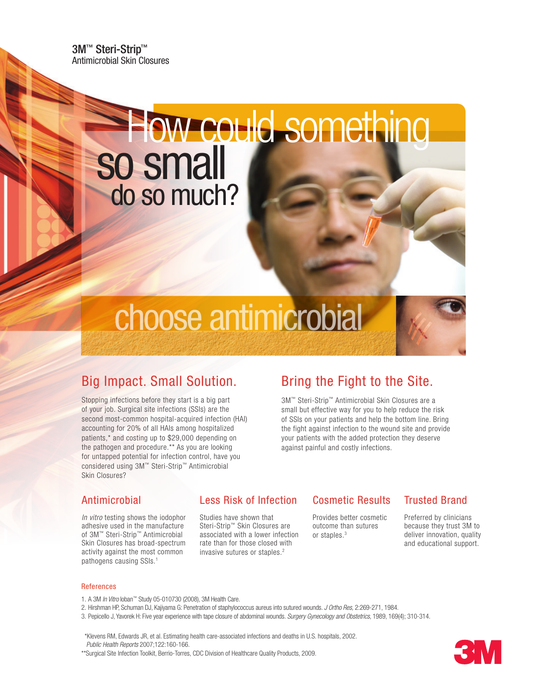3M™ Steri-Strip™ Antimicrobial Skin Closures

# so small do so much? How could something

# choose antimicrobial

## Big Impact. Small Solution.

Stopping infections before they start is a big part of your job. Surgical site infections (SSIs) are the second most-common hospital-acquired infection (HAI) accounting for 20% of all HAIs among hospitalized patients,\* and costing up to \$29,000 depending on the pathogen and procedure.\*\* As you are looking for untapped potential for infection control, have you considered using 3M™ Steri-Strip™ Antimicrobial Skin Closures?

## Bring the Fight to the Site.

3M™ Steri-Strip™ Antimicrobial Skin Closures are a small but effective way for you to help reduce the risk of SSIs on your patients and help the bottom line. Bring the fight against infection to the wound site and provide your patients with the added protection they deserve against painful and costly infections.

#### Antimicrobial

*In vitro* testing shows the iodophor adhesive used in the manufacture of 3M™ Steri-Strip™ Antimicrobial Skin Closures has broad-spectrum activity against the most common pathogens causing SSIs.<sup>1</sup>

#### Less Risk of Infection

Studies have shown that Steri-Strip™ Skin Closures are associated with a lower infection rate than for those closed with invasive sutures or staples.2

#### Cosmetic Results

Provides better cosmetic outcome than sutures or staples.3

#### Trusted Brand

Preferred by clinicians because they trust 3M to deliver innovation, quality and educational support.

#### References

- 1. A 3M *In Vitro* Ioban™ Study 05-010730 (2008), 3M Health Care.
- 2. Hirshman HP, Schuman DJ, Kajiyama G: Penetration of staphylococcus aureus into sutured wounds. *J Ortho Res,* 2:269-271, 1984.
- 3. Pepicello J, Yavorek H: Five year experience with tape closure of abdominal wounds. *Surgery Gynecology and Obstetrics*, 1989, 169(4); 310-314.

 \*Klevens RM, Edwards JR, et al. Estimating health care-associated infections and deaths in U.S. hospitals, 2002. *Public Health Reports* 2007;122:160-166.

\*\*Surgical Site Infection Toolkit, Berrio-Torres, CDC Division of Healthcare Quality Products, 2009.